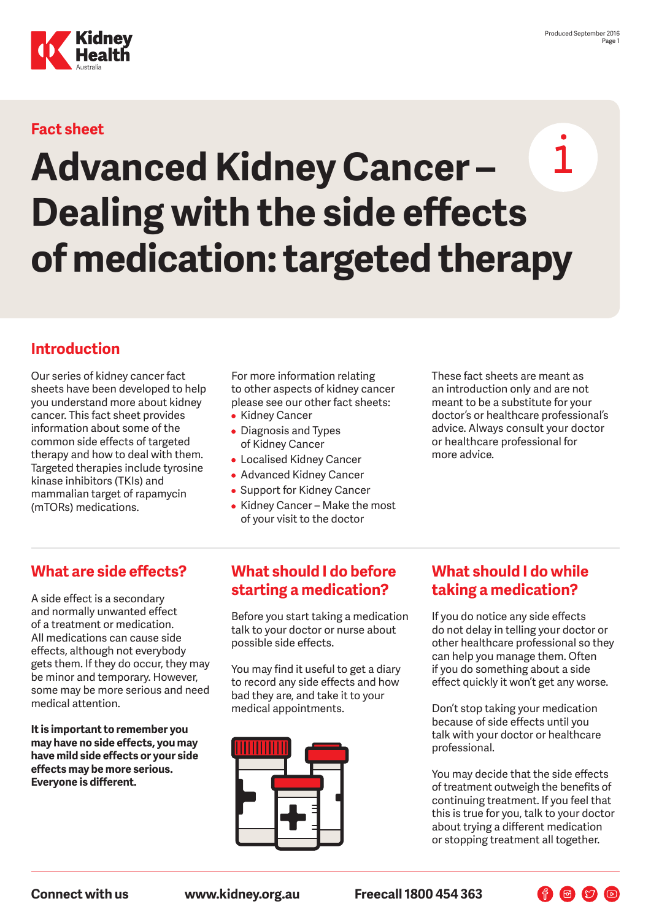

# **Fact sheet**

# $\mathbf{1}$ **Advanced Kidney Cancer – Dealing with the side effects of medication: targeted therapy**

# **Introduction**

Our series of kidney cancer fact sheets have been developed to help you understand more about kidney cancer. This fact sheet provides information about some of the common side effects of targeted therapy and how to deal with them. Targeted therapies include tyrosine kinase inhibitors (TKIs) and mammalian target of rapamycin (mTORs) medications.

For more information relating to other aspects of kidney cancer please see our other fact sheets:

- Kidney Cancer
- Diagnosis and Types of Kidney Cancer
- Localised Kidney Cancer
- Advanced Kidney Cancer
- Support for Kidney Cancer
- Kidney Cancer Make the most of your visit to the doctor

These fact sheets are meant as an introduction only and are not meant to be a substitute for your doctor's or healthcare professional's advice. Always consult your doctor or healthcare professional for more advice.

# **What are side effects?**

A side effect is a secondary and normally unwanted effect of a treatment or medication. All medications can cause side effects, although not everybody gets them. If they do occur, they may be minor and temporary. However, some may be more serious and need medical attention.

**It is important to remember you may have no side effects, you may have mild side effects or your side effects may be more serious. Everyone is different.**

# **What should I do before starting a medication?**

Before you start taking a medication talk to your doctor or nurse about possible side effects.

You may find it useful to get a diary to record any side effects and how bad they are, and take it to your medical appointments.



# **What should I do while taking a medication?**

If you do notice any side effects do not delay in telling your doctor or other healthcare professional so they can help you manage them. Often if you do something about a side effect quickly it won't get any worse.

Don't stop taking your medication because of side effects until you talk with your doctor or healthcare professional.

You may decide that the side effects of treatment outweigh the benefits of continuing treatment. If you feel that this is true for you, talk to your doctor about trying a different medication or stopping treatment all together.

**Connect with us www.kidney.org.au Freecall 1800 454 363**

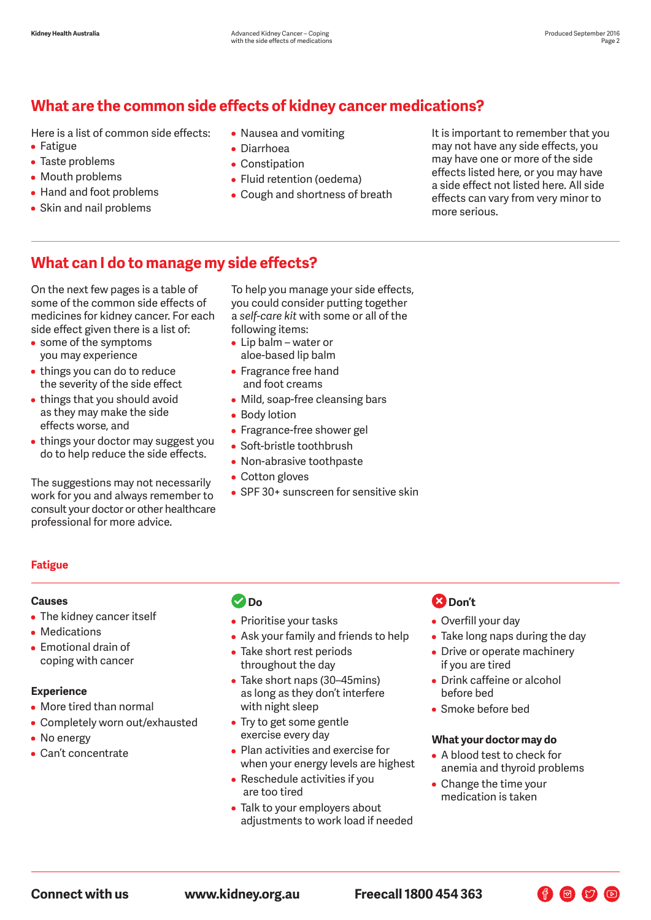# **What are the common side effects of kidney cancer medications?**

Here is a list of common side effects: • Fatigue

- Taste problems
- Mouth problems
- Hand and foot problems
- Skin and nail problems
- Nausea and vomiting
- Diarrhoea
- Constipation
- Fluid retention (oedema)
- Cough and shortness of breath

It is important to remember that you may not have any side effects, you may have one or more of the side effects listed here, or you may have a side effect not listed here. All side effects can vary from very minor to more serious.

# **What can I do to manage my side effects?**

On the next few pages is a table of some of the common side effects of medicines for kidney cancer. For each side effect given there is a list of:

- some of the symptoms you may experience
- things you can do to reduce the severity of the side effect
- things that you should avoid as they may make the side effects worse, and
- things your doctor may suggest you do to help reduce the side effects.

The suggestions may not necessarily work for you and always remember to consult your doctor or other healthcare professional for more advice.

To help you manage your side effects, you could consider putting together a *self-care kit* with some or all of the following items:

- Lip balm water or aloe-based lip balm
- Fragrance free hand and foot creams
- Mild, soap-free cleansing bars
- Body lotion
- Fragrance-free shower gel
- Soft-bristle toothbrush
- Non-abrasive toothpaste
- Cotton gloves
- SPF 30+ sunscreen for sensitive skin

### **Fatigue**

#### **Causes**

- The kidney cancer itself
- Medications
- Emotional drain of coping with cancer

#### **Experience**

- More tired than normal
- Completely worn out/exhausted
- No energy
- Can't concentrate

# **Do**

- Prioritise your tasks
- Ask your family and friends to help
- Take short rest periods throughout the day
- Take short naps (30–45mins) as long as they don't interfere with night sleep
- Try to get some gentle exercise every day
- Plan activities and exercise for when your energy levels are highest
- Reschedule activities if you are too tired
- Talk to your employers about adjustments to work load if needed

# **2** Don't

- Overfill your day
- Take long naps during the day
- Drive or operate machinery if you are tired
- Drink caffeine or alcohol before bed
- Smoke before bed

#### **What your doctor may do**

• A blood test to check for anemia and thyroid problems

F & D D

• Change the time your medication is taken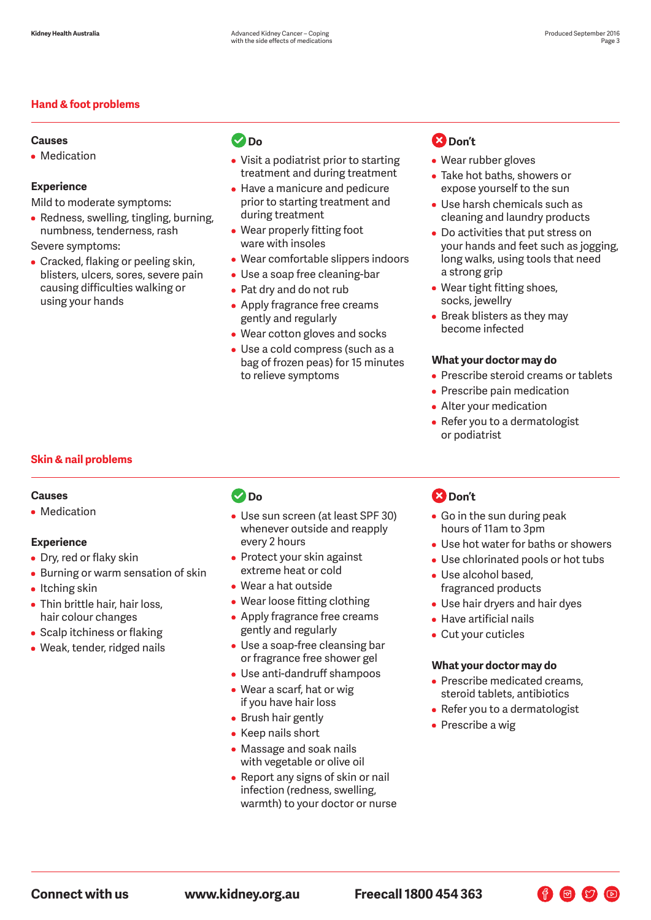#### **Hand & foot problems**

#### **Causes**

• Medication

#### **Experience**

Mild to moderate symptoms:

• Redness, swelling, tingling, burning, numbness, tenderness, rash

Severe symptoms:

• Cracked, flaking or peeling skin, blisters, ulcers, sores, severe pain causing difficulties walking or using your hands

# **Do**

- Visit a podiatrist prior to starting treatment and during treatment
- Have a manicure and pedicure prior to starting treatment and during treatment
- Wear properly fitting foot ware with insoles
- Wear comfortable slippers indoors
- Use a soap free cleaning-bar
- Pat dry and do not rub
- Apply fragrance free creams gently and regularly
- Wear cotton gloves and socks
- Use a cold compress (such as a bag of frozen peas) for 15 minutes to relieve symptoms

### **2** Don't

- Wear rubber gloves
- Take hot baths, showers or expose yourself to the sun
- Use harsh chemicals such as cleaning and laundry products
- Do activities that put stress on your hands and feet such as jogging, long walks, using tools that need a strong grip
- Wear tight fitting shoes, socks, jewellry
- Break blisters as they may become infected

#### **What your doctor may do**

- Prescribe steroid creams or tablets
- Prescribe pain medication
- Alter your medication
- Refer you to a dermatologist or podiatrist

#### **Skin & nail problems**

#### **Causes**

• Medication

#### **Experience**

- Dry, red or flaky skin
- Burning or warm sensation of skin
- Itching skin
- Thin brittle hair, hair loss, hair colour changes
- Scalp itchiness or flaking
- Weak, tender, ridged nails

# **Do**

- Use sun screen (at least SPF 30) whenever outside and reapply every 2 hours
- Protect your skin against extreme heat or cold
- Wear a hat outside
- Wear loose fitting clothing
- Apply fragrance free creams gently and regularly
- Use a soap-free cleansing bar or fragrance free shower gel
- Use anti-dandruff shampoos
- Wear a scarf, hat or wig if you have hair loss
- Brush hair gently
- Keep nails short
- Massage and soak nails with vegetable or olive oil
- Report any signs of skin or nail infection (redness, swelling, warmth) to your doctor or nurse

# **Don't**

- Go in the sun during peak hours of 11am to 3pm
- Use hot water for baths or showers
- Use chlorinated pools or hot tubs
- Use alcohol based, fragranced products
- Use hair dryers and hair dyes
- Have artificial nails
- Cut your cuticles

#### **What your doctor may do**

- Prescribe medicated creams, steroid tablets, antibiotics
- Refer you to a dermatologist

 $\bigoplus$   $\bigcirc$   $\bigcirc$   $\bigcirc$ 

• Prescribe a wig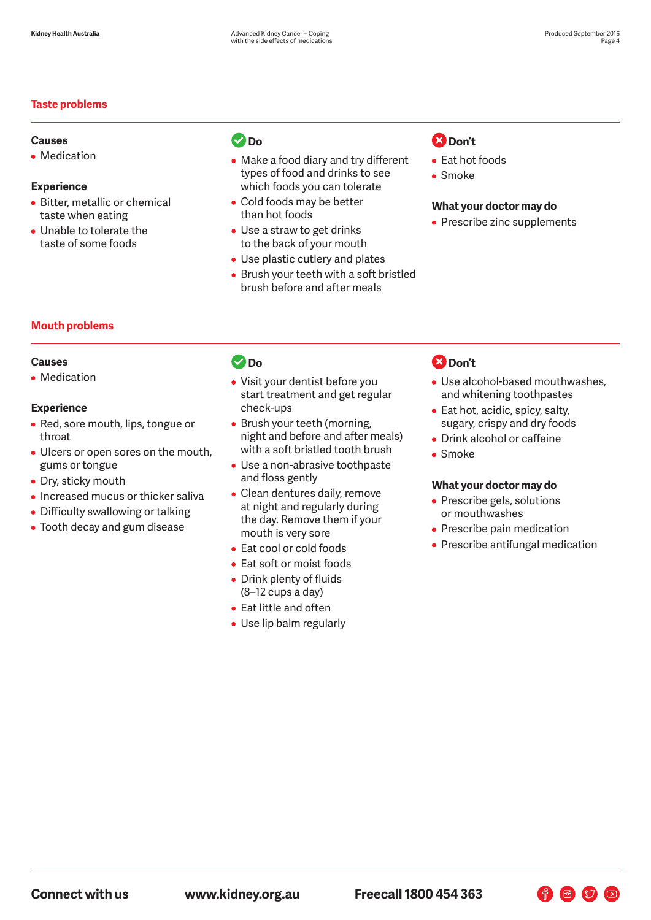#### **Taste problems**

#### **Causes**

• Medication

#### **Experience**

- Bitter, metallic or chemical taste when eating
- Unable to tolerate the taste of some foods

# **Do**

- Make a food diary and try different types of food and drinks to see which foods you can tolerate
- Cold foods may be better than hot foods
- Use a straw to get drinks to the back of your mouth
- Use plastic cutlery and plates
- Brush your teeth with a soft bristled brush before and after meals

# **B** Don't

- Eat hot foods
- Smoke

#### **What your doctor may do**

• Prescribe zinc supplements

#### **Mouth problems**

#### **Causes**

• Medication

#### **Experience**

- Red, sore mouth, lips, tongue or throat
- Ulcers or open sores on the mouth, gums or tongue
- Dry, sticky mouth
- Increased mucus or thicker saliva
- Difficulty swallowing or talking
- Tooth decay and gum disease

# **Do**

- Visit your dentist before you start treatment and get regular check-ups
- Brush your teeth (morning, night and before and after meals) with a soft bristled tooth brush
- Use a non-abrasive toothpaste and floss gently
- Clean dentures daily, remove at night and regularly during the day. Remove them if your mouth is very sore
- Eat cool or cold foods
- Eat soft or moist foods
- Drink plenty of fluids (8–12 cups a day)
- Eat little and often
- Use lip balm regularly

# **2** Don't

- Use alcohol-based mouthwashes, and whitening toothpastes
- Eat hot, acidic, spicy, salty, sugary, crispy and dry foods
- Drink alcohol or caffeine
- Smoke

#### **What your doctor may do**

- Prescribe gels, solutions or mouthwashes
- Prescribe pain medication
- Prescribe antifungal medication

 $\bigoplus$   $\bigcirc$   $\bigcirc$   $\bigcirc$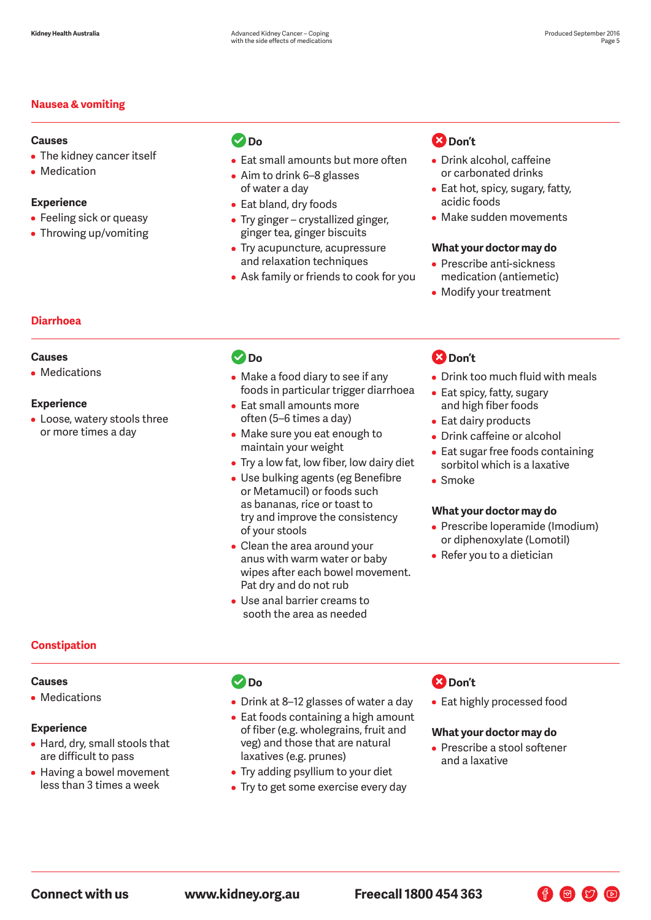#### **Nausea & vomiting**

#### **Causes**

- The kidney cancer itself
- Medication

#### **Experience**

- Feeling sick or queasy
- Throwing up/vomiting

# **Do**

- Eat small amounts but more often
- Aim to drink 6–8 glasses of water a day
- Eat bland, dry foods
- Try ginger crystallized ginger, ginger tea, ginger biscuits
- Try acupuncture, acupressure and relaxation techniques
- Ask family or friends to cook for you

# **B** Don't

- Drink alcohol, caffeine or carbonated drinks
- Eat hot, spicy, sugary, fatty, acidic foods
- Make sudden movements

#### **What your doctor may do**

- Prescribe anti-sickness medication (antiemetic)
- Modify your treatment

#### **Diarrhoea**

#### **Causes**

• Medications

#### **Experience**

• Loose, watery stools three or more times a day

### **Do**

- Make a food diary to see if any foods in particular trigger diarrhoea
- Eat small amounts more often (5–6 times a day)
- Make sure you eat enough to maintain your weight
- Try a low fat, low fiber, low dairy diet
- Use bulking agents (eg Benefibre or Metamucil) or foods such as bananas, rice or toast to try and improve the consistency of your stools
- Clean the area around your anus with warm water or baby wipes after each bowel movement. Pat dry and do not rub
- Use anal barrier creams to sooth the area as needed

# **B** Don't

- Drink too much fluid with meals
- Eat spicy, fatty, sugary and high fiber foods
- Eat dairy products
- Drink caffeine or alcohol
- Eat sugar free foods containing sorbitol which is a laxative
- Smoke

#### **What your doctor may do**

- Prescribe loperamide (Imodium) or diphenoxylate (Lomotil)
- Refer you to a dietician

#### **Constipation**

#### **Causes**

• Medications

#### **Experience**

- Hard, dry, small stools that are difficult to pass
- Having a bowel movement less than 3 times a week

### **Do**

- Drink at 8–12 glasses of water a day
- Eat foods containing a high amount of fiber (e.g. wholegrains, fruit and veg) and those that are natural laxatives (e.g. prunes)
- Try adding psyllium to your diet
- Try to get some exercise every day

### **2** Don't

• Eat highly processed food

#### **What your doctor may do**

• Prescribe a stool softener and a laxative

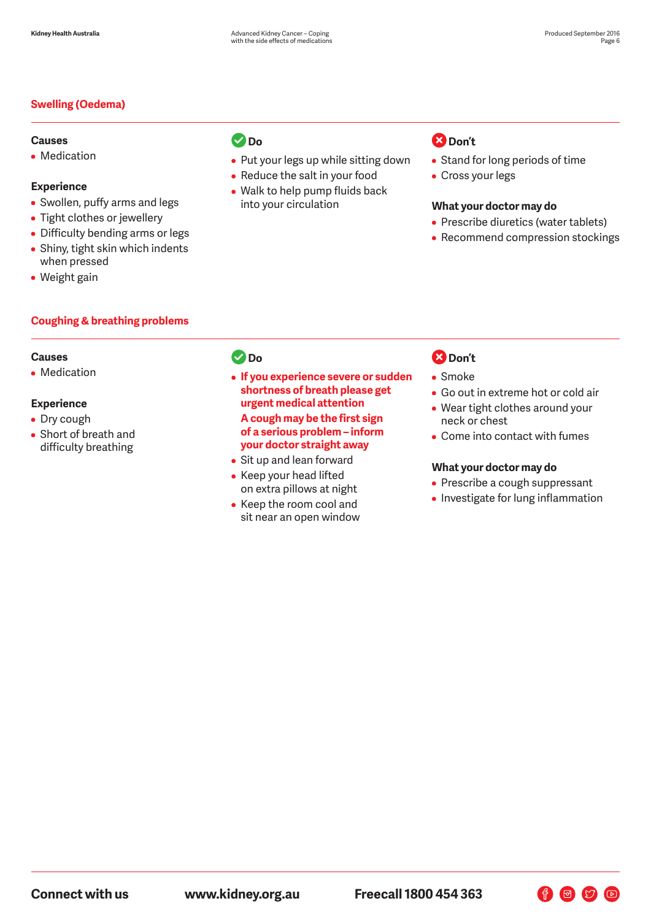#### **Swelling (Oedema)**

#### **Causes**

• Medication

#### **Experience**

- Swollen, puffy arms and legs
- Tight clothes or jewellery
- Difficulty bending arms or legs
- Shiny, tight skin which indents when pressed
- Weight gain

#### **Coughing & breathing problems**

#### **Causes**

• Medication

### **Experience**

- Dry cough
- Short of breath and difficulty breathing

# **Do**

- Put your legs up while sitting down
- Reduce the salt in your food
- Walk to help pump fluids back into your circulation

# **B** Don't

- Stand for long periods of time
- Cross your legs

#### **What your doctor may do**

- Prescribe diuretics (water tablets)
- Recommend compression stockings

### *<u>Do</u>*

- **If you experience severe or sudden shortness of breath please get urgent medical attention A cough may be the first sign of a serious problem – inform your doctor straight away**
- Sit up and lean forward
- Keep your head lifted on extra pillows at night
- Keep the room cool and sit near an open window

# **Don't**

- Smoke
- Go out in extreme hot or cold air
- Wear tight clothes around your neck or chest
- Come into contact with fumes

#### **What your doctor may do**

- Prescribe a cough suppressant
- Investigate for lung inflammation

F & D D